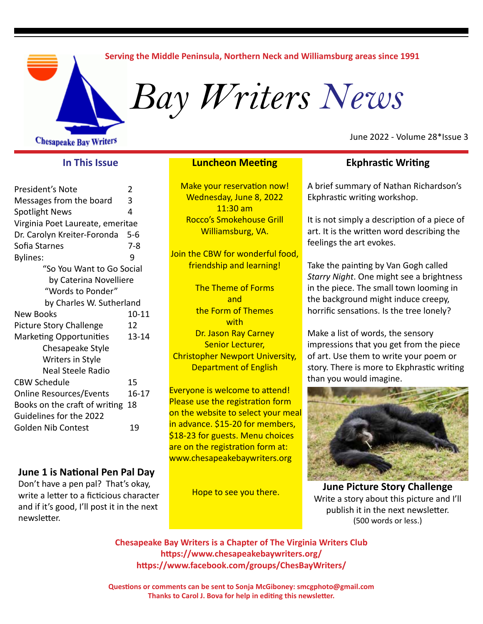#### **Serving the Middle Peninsula, Northern Neck and Williamsburg areas since 1991**

*Bay Writers News*

**Chesapeake Bay Writers** 

### **In This Issue**

| President's Note                 | 2         |
|----------------------------------|-----------|
| Messages from the board          | 3         |
| <b>Spotlight News</b>            | 4         |
| Virginia Poet Laureate, emeritae |           |
| Dr. Carolyn Kreiter-Foronda      | 5-6       |
| Sofia Starnes                    | 7-8       |
| <b>Bylines:</b>                  | ٩         |
| "So You Want to Go Social        |           |
| by Caterina Novelliere           |           |
| "Words to Ponder"                |           |
| by Charles W. Sutherland         |           |
| <b>New Books</b>                 | 10-11     |
| <b>Picture Story Challenge</b>   | 12        |
| <b>Marketing Opportunities</b>   | 13-14     |
| Chesapeake Style                 |           |
| Writers in Style                 |           |
| Neal Steele Radio                |           |
| <b>CBW Schedule</b>              | 15        |
| <b>Online Resources/Events</b>   | $16 - 17$ |
| Books on the craft of writing 18 |           |
| Guidelines for the 2022          |           |
| <b>Golden Nib Contest</b>        | 19        |
|                                  |           |

### **June 1 is National Pen Pal Day**

Don't have a pen pal? That's okay, write a letter to a ficticious character and if it's good, I'll post it in the next newsletter.

#### **Luncheon Meeting**

Make your reservation now! Wednesday, June 8, 2022 11:30 am Rocco's Smokehouse Grill Williamsburg, VA.

Join the CBW for wonderful food, friendship and learning!

The Theme of Forms and the Form of Themes with Dr. Jason Ray Carney Senior Lecturer, Christopher Newport University, Department of English

Everyone is welcome to attend! Please use the registration form on the website to select your meal in advance. \$15-20 for members, \$18-23 for guests. Menu choices are on the registration form at: www.chesapeakebaywriters.org

Hope to see you there.

#### June 2022 - Volume 28\*Issue 3

### **Ekphrastic Writing**

A brief summary of Nathan Richardson's Ekphrastic writing workshop.

It is not simply a description of a piece of art. It is the written word describing the feelings the art evokes.

Take the painting by Van Gogh called *Starry Night*. One might see a brightness in the piece. The small town looming in the background might induce creepy, horrific sensations. Is the tree lonely?

Make a list of words, the sensory impressions that you get from the piece of art. Use them to write your poem or story. There is more to Ekphrastic writing than you would imagine.



**June Picture Story Challenge**  Write a story about this picture and I'll publish it in the next newsletter. (500 words or less.)

**Chesapeake Bay Writers is a Chapter of The Virginia Writers Club https://www.chesapeakebaywriters.org/ https://www.facebook.com/groups/ChesBayWriters/**

**Questions or comments can be sent to Sonja McGiboney: smcgphoto@gmail.com Thanks to Carol J. Bova for help in editing this newsletter.**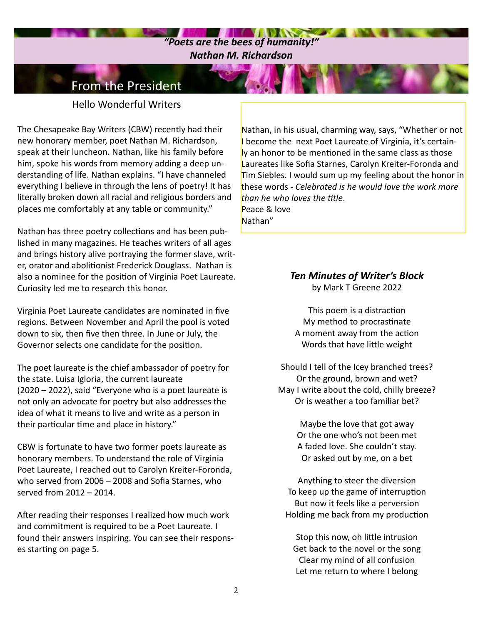### $\mathbf{u} \in \mathbf{V}$  ,  $\mathbf{v} \in \mathbf{V}$ *"Poets are the bees of humanity!" Nathan M. Richardson*

### From the President

Hello Wonderful Writers

The Chesapeake Bay Writers (CBW) recently had their new honorary member, poet Nathan M. Richardson, speak at their luncheon. Nathan, like his family before him, spoke his words from memory adding a deep understanding of life. Nathan explains. "I have channeled everything I believe in through the lens of poetry! It has literally broken down all racial and religious borders and places me comfortably at any table or community."

Nathan has three poetry collections and has been published in many magazines. He teaches writers of all ages and brings history alive portraying the former slave, writer, orator and abolitionist Frederick Douglass. Nathan is also a nominee for the position of Virginia Poet Laureate. Curiosity led me to research this honor.

Virginia Poet Laureate candidates are nominated in five regions. Between November and April the pool is voted down to six, then five then three. In June or July, the Governor selects one candidate for the position.

The poet laureate is the chief ambassador of poetry for the state. Luisa Igloria, the current laureate (2020 – 2022), said "Everyone who is a poet laureate is not only an advocate for poetry but also addresses the idea of what it means to live and write as a person in their particular time and place in history."

CBW is fortunate to have two former poets laureate as honorary members. To understand the role of Virginia Poet Laureate, I reached out to Carolyn Kreiter-Foronda, who served from 2006 – 2008 and Sofia Starnes, who served from 2012 – 2014.

After reading their responses I realized how much work and commitment is required to be a Poet Laureate. I found their answers inspiring. You can see their responses starting on page 5.

Nathan, in his usual, charming way, says, "Whether or not I become the next Poet Laureate of Virginia, it's certainly an honor to be mentioned in the same class as those Laureates like Sofia Starnes, Carolyn Kreiter-Foronda and Tim Siebles. I would sum up my feeling about the honor in these words - *Celebrated is he would love the work more than he who loves the title*. Peace & love Nathan"

### *Ten Minutes of Writer's Block*  by Mark T Greene 2022

This poem is a distraction My method to procrastinate A moment away from the action Words that have little weight

Should I tell of the Icey branched trees? Or the ground, brown and wet? May I write about the cold, chilly breeze? Or is weather a too familiar bet?

> Maybe the love that got away Or the one who's not been met A faded love. She couldn't stay. Or asked out by me, on a bet

Anything to steer the diversion To keep up the game of interruption But now it feels like a perversion Holding me back from my production

Stop this now, oh little intrusion Get back to the novel or the song Clear my mind of all confusion Let me return to where I belong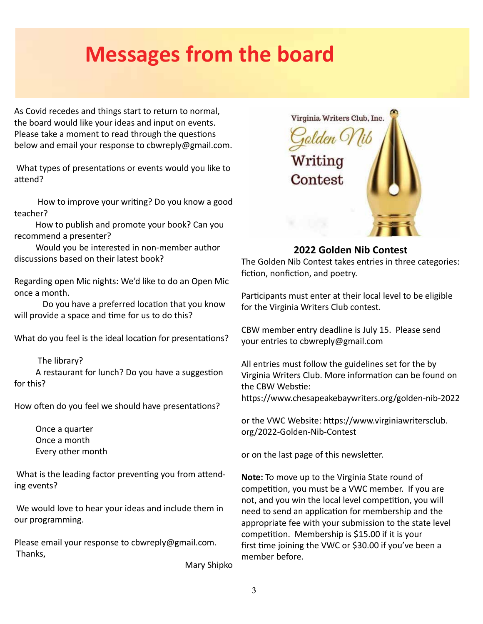## **Messages from the board**

As Covid recedes and things start to return to normal, the board would like your ideas and input on events. Please take a moment to read through the questions below and email your response to cbwreply@gmail.com.

 What types of presentations or events would you like to attend?

 How to improve your writing? Do you know a good teacher?

 How to publish and promote your book? Can you recommend a presenter?

 Would you be interested in non-member author discussions based on their latest book?

Regarding open Mic nights: We'd like to do an Open Mic once a month.

Do you have a preferred location that you know will provide a space and time for us to do this?

What do you feel is the ideal location for presentations?

#### The library?

 A restaurant for lunch? Do you have a suggestion for this?

How often do you feel we should have presentations?

 Once a quarter Once a month Every other month

 What is the leading factor preventing you from attending events?

 We would love to hear your ideas and include them in our programming.

Please email your response to cbwreply@gmail.com. Thanks,

Mary Shipko



### **2022 Golden Nib Contest**

The Golden Nib Contest takes entries in three categories: fiction, nonfiction, and poetry.

Participants must enter at their local level to be eligible for the Virginia Writers Club contest.

CBW member entry deadline is July 15. Please send your entries to cbwreply@gmail.com

All entries must follow the guidelines set for the by Virginia Writers Club. More information can be found on the CBW Webstie: https://www.chesapeakebaywriters.org/golden-nib-2022

or the VWC Website: https://www.virginiawritersclub. org/2022-Golden-Nib-Contest

or on the last page of this newsletter.

**Note:** To move up to the Virginia State round of competition, you must be a VWC member. If you are not, and you win the local level competition, you will need to send an application for membership and the appropriate fee with your submission to the state level competition. Membership is \$15.00 if it is your first time joining the VWC or \$30.00 if you've been a member before.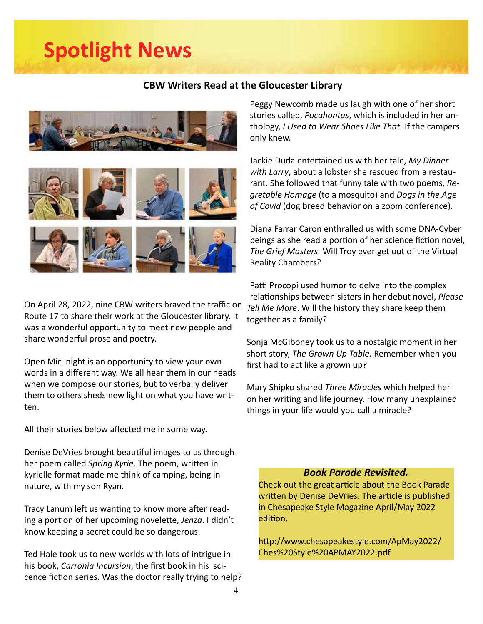## **Spotlight News**

### **CBW Writers Read at the Gloucester Library**





On April 28, 2022, nine CBW writers braved the traffic on Route 17 to share their work at the Gloucester library. It was a wonderful opportunity to meet new people and share wonderful prose and poetry.

Open Mic night is an opportunity to view your own words in a different way. We all hear them in our heads when we compose our stories, but to verbally deliver them to others sheds new light on what you have written.

All their stories below affected me in some way.

Denise DeVries brought beautiful images to us through her poem called *Spring Kyrie*. The poem, written in kyrielle format made me think of camping, being in nature, with my son Ryan.

Tracy Lanum left us wanting to know more after reading a portion of her upcoming novelette, *Jenza*. I didn't know keeping a secret could be so dangerous.

Ted Hale took us to new worlds with lots of intrigue in his book, *Carronia Incursion*, the first book in his scicence fiction series. Was the doctor really trying to help? Peggy Newcomb made us laugh with one of her short stories called, *Pocahontas*, which is included in her anthology, *I Used to Wear Shoes Like That.* If the campers only knew.

Jackie Duda entertained us with her tale, *My Dinner with Larry*, about a lobster she rescued from a restaurant. She followed that funny tale with two poems, *Regretable Homage* (to a mosquito) and *Dogs in the Age of Covid* (dog breed behavior on a zoom conference).

Diana Farrar Caron enthralled us with some DNA-Cyber beings as she read a portion of her science fiction novel, *The Grief Masters.* Will Troy ever get out of the Virtual Reality Chambers?

Patti Procopi used humor to delve into the complex relationships between sisters in her debut novel, *Please Tell Me More*. Will the history they share keep them together as a family?

Sonja McGiboney took us to a nostalgic moment in her short story, *The Grown Up Table.* Remember when you first had to act like a grown up?

Mary Shipko shared *Three Miracles* which helped her on her writing and life journey. How many unexplained things in your life would you call a miracle?

### *Book Parade Revisited.*

Check out the great article about the Book Parade written by Denise DeVries. The article is published in Chesapeake Style Magazine April/May 2022 edition.

http://www.chesapeakestyle.com/ApMay2022/ Ches%20Style%20APMAY2022.pdf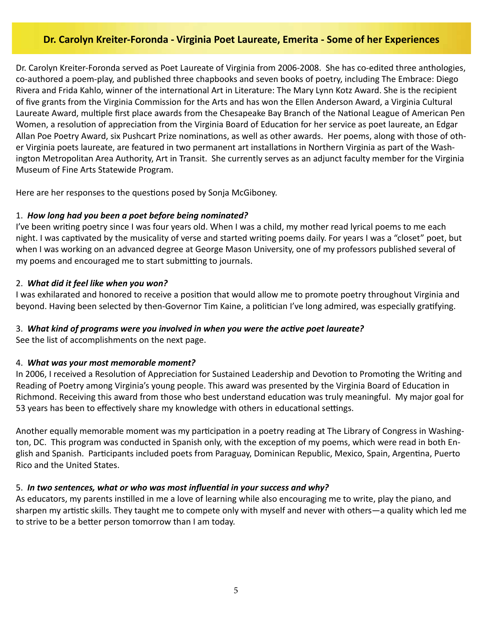### **Dr. Carolyn Kreiter-Foronda - Virginia Poet Laureate, Emerita - Some of her Experiences**

Dr. Carolyn Kreiter-Foronda served as Poet Laureate of Virginia from 2006-2008. She has co-edited three anthologies, co-authored a poem-play, and published three chapbooks and seven books of poetry, including The Embrace: Diego Rivera and Frida Kahlo, winner of the international Art in Literature: The Mary Lynn Kotz Award. She is the recipient of five grants from the Virginia Commission for the Arts and has won the Ellen Anderson Award, a Virginia Cultural Laureate Award, multiple first place awards from the Chesapeake Bay Branch of the National League of American Pen Women, a resolution of appreciation from the Virginia Board of Education for her service as poet laureate, an Edgar Allan Poe Poetry Award, six Pushcart Prize nominations, as well as other awards. Her poems, along with those of other Virginia poets laureate, are featured in two permanent art installations in Northern Virginia as part of the Washington Metropolitan Area Authority, Art in Transit. She currently serves as an adjunct faculty member for the Virginia Museum of Fine Arts Statewide Program.

Here are her responses to the questions posed by Sonja McGiboney.

### 1. *How long had you been a poet before being nominated?*

I've been writing poetry since I was four years old. When I was a child, my mother read lyrical poems to me each night. I was captivated by the musicality of verse and started writing poems daily. For years I was a "closet" poet, but when I was working on an advanced degree at George Mason University, one of my professors published several of my poems and encouraged me to start submitting to journals.

#### 2. *What did it feel like when you won?*

I was exhilarated and honored to receive a position that would allow me to promote poetry throughout Virginia and beyond. Having been selected by then-Governor Tim Kaine, a politician I've long admired, was especially gratifying.

### 3. *What kind of programs were you involved in when you were the active poet laureate?*

See the list of accomplishments on the next page.

### 4. *What was your most memorable moment?*

In 2006, I received a Resolution of Appreciation for Sustained Leadership and Devotion to Promoting the Writing and Reading of Poetry among Virginia's young people. This award was presented by the Virginia Board of Education in Richmond. Receiving this award from those who best understand education was truly meaningful. My major goal for 53 years has been to effectively share my knowledge with others in educational settings.

Another equally memorable moment was my participation in a poetry reading at The Library of Congress in Washington, DC. This program was conducted in Spanish only, with the exception of my poems, which were read in both English and Spanish. Participants included poets from Paraguay, Dominican Republic, Mexico, Spain, Argentina, Puerto Rico and the United States.

### 5. *In two sentences, what or who was most influential in your success and why?*

As educators, my parents instilled in me a love of learning while also encouraging me to write, play the piano, and sharpen my artistic skills. They taught me to compete only with myself and never with others—a quality which led me to strive to be a better person tomorrow than I am today.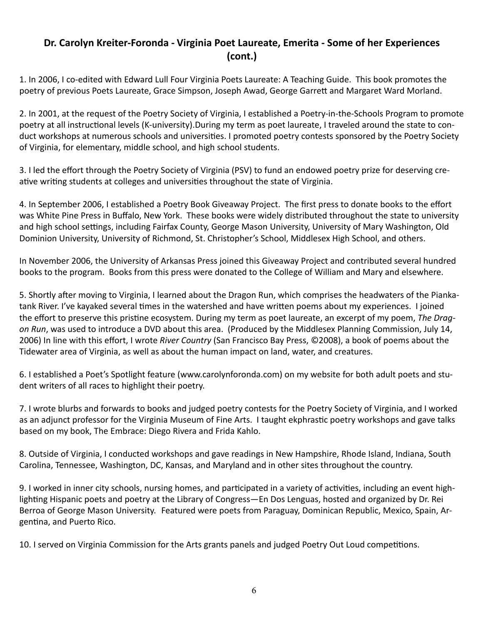### **Dr. Carolyn Kreiter-Foronda - Virginia Poet Laureate, Emerita - Some of her Experiences (cont.)**

1. In 2006, I co-edited with Edward Lull Four Virginia Poets Laureate: A Teaching Guide. This book promotes the poetry of previous Poets Laureate, Grace Simpson, Joseph Awad, George Garrett and Margaret Ward Morland.

2. In 2001, at the request of the Poetry Society of Virginia, I established a Poetry-in-the-Schools Program to promote poetry at all instructional levels (K-university).During my term as poet laureate, I traveled around the state to conduct workshops at numerous schools and universities. I promoted poetry contests sponsored by the Poetry Society of Virginia, for elementary, middle school, and high school students.

3. I led the effort through the Poetry Society of Virginia (PSV) to fund an endowed poetry prize for deserving creative writing students at colleges and universities throughout the state of Virginia.

4. In September 2006, I established a Poetry Book Giveaway Project. The first press to donate books to the effort was White Pine Press in Buffalo, New York. These books were widely distributed throughout the state to university and high school settings, including Fairfax County, George Mason University, University of Mary Washington, Old Dominion University, University of Richmond, St. Christopher's School, Middlesex High School, and others.

In November 2006, the University of Arkansas Press joined this Giveaway Project and contributed several hundred books to the program. Books from this press were donated to the College of William and Mary and elsewhere.

5. Shortly after moving to Virginia, I learned about the Dragon Run, which comprises the headwaters of the Piankatank River. I've kayaked several times in the watershed and have written poems about my experiences. I joined the effort to preserve this pristine ecosystem. During my term as poet laureate, an excerpt of my poem, *The Dragon Run*, was used to introduce a DVD about this area. (Produced by the Middlesex Planning Commission, July 14, 2006) In line with this effort, I wrote *River Country* (San Francisco Bay Press, ©2008), a book of poems about the Tidewater area of Virginia, as well as about the human impact on land, water, and creatures.

6. I established a Poet's Spotlight feature (www.carolynforonda.com) on my website for both adult poets and student writers of all races to highlight their poetry.

7. I wrote blurbs and forwards to books and judged poetry contests for the Poetry Society of Virginia, and I worked as an adjunct professor for the Virginia Museum of Fine Arts. I taught ekphrastic poetry workshops and gave talks based on my book, The Embrace: Diego Rivera and Frida Kahlo.

8. Outside of Virginia, I conducted workshops and gave readings in New Hampshire, Rhode Island, Indiana, South Carolina, Tennessee, Washington, DC, Kansas, and Maryland and in other sites throughout the country.

9. I worked in inner city schools, nursing homes, and participated in a variety of activities, including an event highlighting Hispanic poets and poetry at the Library of Congress—En Dos Lenguas, hosted and organized by Dr. Rei Berroa of George Mason University. Featured were poets from Paraguay, Dominican Republic, Mexico, Spain, Argentina, and Puerto Rico.

10. I served on Virginia Commission for the Arts grants panels and judged Poetry Out Loud competitions.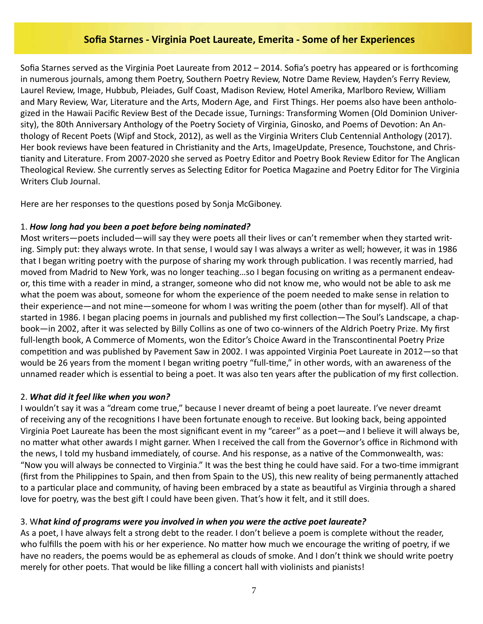### **Sofia Starnes - Virginia Poet Laureate, Emerita - Some of her Experiences**

Sofia Starnes served as the Virginia Poet Laureate from 2012 – 2014. Sofia's poetry has appeared or is forthcoming in numerous journals, among them Poetry, Southern Poetry Review, Notre Dame Review, Hayden's Ferry Review, Laurel Review, Image, Hubbub, Pleiades, Gulf Coast, Madison Review, Hotel Amerika, Marlboro Review, William and Mary Review, War, Literature and the Arts, Modern Age, and First Things. Her poems also have been anthologized in the Hawaii Pacific Review Best of the Decade issue, Turnings: Transforming Women (Old Dominion University), the 80th Anniversary Anthology of the Poetry Society of Virginia, Ginosko, and Poems of Devotion: An Anthology of Recent Poets (Wipf and Stock, 2012), as well as the Virginia Writers Club Centennial Anthology (2017). Her book reviews have been featured in Christianity and the Arts, ImageUpdate, Presence, Touchstone, and Christianity and Literature. From 2007-2020 she served as Poetry Editor and Poetry Book Review Editor for The Anglican Theological Review. She currently serves as Selecting Editor for Poetica Magazine and Poetry Editor for The Virginia Writers Club Journal.

Here are her responses to the questions posed by Sonja McGiboney.

### 1. *How long had you been a poet before being nominated?*

Most writers—poets included—will say they were poets all their lives or can't remember when they started writing. Simply put: they always wrote. In that sense, I would say I was always a writer as well; however, it was in 1986 that I began writing poetry with the purpose of sharing my work through publication. I was recently married, had moved from Madrid to New York, was no longer teaching…so I began focusing on writing as a permanent endeavor, this time with a reader in mind, a stranger, someone who did not know me, who would not be able to ask me what the poem was about, someone for whom the experience of the poem needed to make sense in relation to their experience—and not mine—someone for whom I was writing the poem (other than for myself). All of that started in 1986. I began placing poems in journals and published my first collection—The Soul's Landscape, a chapbook—in 2002, after it was selected by Billy Collins as one of two co-winners of the Aldrich Poetry Prize. My first full-length book, A Commerce of Moments, won the Editor's Choice Award in the Transcontinental Poetry Prize competition and was published by Pavement Saw in 2002. I was appointed Virginia Poet Laureate in 2012—so that would be 26 years from the moment I began writing poetry "full-time," in other words, with an awareness of the unnamed reader which is essential to being a poet. It was also ten years after the publication of my first collection.

### 2. *What did it feel like when you won?*

I wouldn't say it was a "dream come true," because I never dreamt of being a poet laureate. I've never dreamt of receiving any of the recognitions I have been fortunate enough to receive. But looking back, being appointed Virginia Poet Laureate has been the most significant event in my "career" as a poet—and I believe it will always be, no matter what other awards I might garner. When I received the call from the Governor's office in Richmond with the news, I told my husband immediately, of course. And his response, as a native of the Commonwealth, was: "Now you will always be connected to Virginia." It was the best thing he could have said. For a two-time immigrant (first from the Philippines to Spain, and then from Spain to the US), this new reality of being permanently attached to a particular place and community, of having been embraced by a state as beautiful as Virginia through a shared love for poetry, was the best gift I could have been given. That's how it felt, and it still does.

### 3. W*hat kind of programs were you involved in when you were the active poet laureate?*

As a poet, I have always felt a strong debt to the reader. I don't believe a poem is complete without the reader, who fulfills the poem with his or her experience. No matter how much we encourage the writing of poetry, if we have no readers, the poems would be as ephemeral as clouds of smoke. And I don't think we should write poetry merely for other poets. That would be like filling a concert hall with violinists and pianists!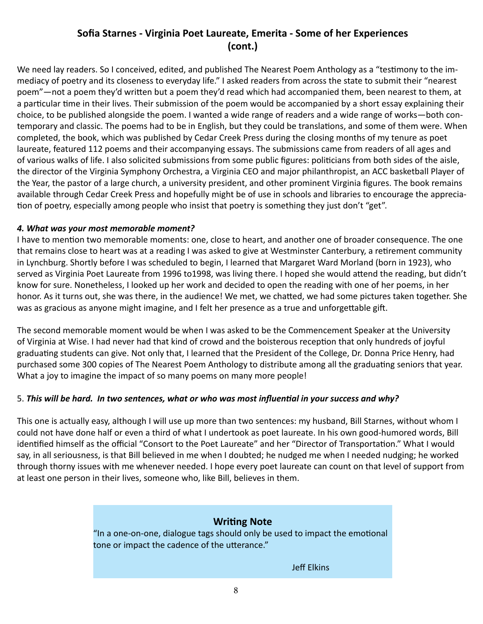### **Sofia Starnes - Virginia Poet Laureate, Emerita - Some of her Experiences (cont.)**

We need lay readers. So I conceived, edited, and published The Nearest Poem Anthology as a "testimony to the immediacy of poetry and its closeness to everyday life." I asked readers from across the state to submit their "nearest poem"—not a poem they'd written but a poem they'd read which had accompanied them, been nearest to them, at a particular time in their lives. Their submission of the poem would be accompanied by a short essay explaining their choice, to be published alongside the poem. I wanted a wide range of readers and a wide range of works—both contemporary and classic. The poems had to be in English, but they could be translations, and some of them were. When completed, the book, which was published by Cedar Creek Press during the closing months of my tenure as poet laureate, featured 112 poems and their accompanying essays. The submissions came from readers of all ages and of various walks of life. I also solicited submissions from some public figures: politicians from both sides of the aisle, the director of the Virginia Symphony Orchestra, a Virginia CEO and major philanthropist, an ACC basketball Player of the Year, the pastor of a large church, a university president, and other prominent Virginia figures. The book remains available through Cedar Creek Press and hopefully might be of use in schools and libraries to encourage the appreciation of poetry, especially among people who insist that poetry is something they just don't "get".

### *4. What was your most memorable moment?*

I have to mention two memorable moments: one, close to heart, and another one of broader consequence. The one that remains close to heart was at a reading I was asked to give at Westminster Canterbury, a retirement community in Lynchburg. Shortly before I was scheduled to begin, I learned that Margaret Ward Morland (born in 1923), who served as Virginia Poet Laureate from 1996 to1998, was living there. I hoped she would attend the reading, but didn't know for sure. Nonetheless, I looked up her work and decided to open the reading with one of her poems, in her honor. As it turns out, she was there, in the audience! We met, we chatted, we had some pictures taken together. She was as gracious as anyone might imagine, and I felt her presence as a true and unforgettable gift.

The second memorable moment would be when I was asked to be the Commencement Speaker at the University of Virginia at Wise. I had never had that kind of crowd and the boisterous reception that only hundreds of joyful graduating students can give. Not only that, I learned that the President of the College, Dr. Donna Price Henry, had purchased some 300 copies of The Nearest Poem Anthology to distribute among all the graduating seniors that year. What a joy to imagine the impact of so many poems on many more people!

### 5. *This will be hard. In two sentences, what or who was most influential in your success and why?*

This one is actually easy, although I will use up more than two sentences: my husband, Bill Starnes, without whom I could not have done half or even a third of what I undertook as poet laureate. In his own good-humored words, Bill identified himself as the official "Consort to the Poet Laureate" and her "Director of Transportation." What I would say, in all seriousness, is that Bill believed in me when I doubted; he nudged me when I needed nudging; he worked through thorny issues with me whenever needed. I hope every poet laureate can count on that level of support from at least one person in their lives, someone who, like Bill, believes in them.

### **Writing Note**

"In a one-on-one, dialogue tags should only be used to impact the emotional tone or impact the cadence of the utterance."

Jeff Elkins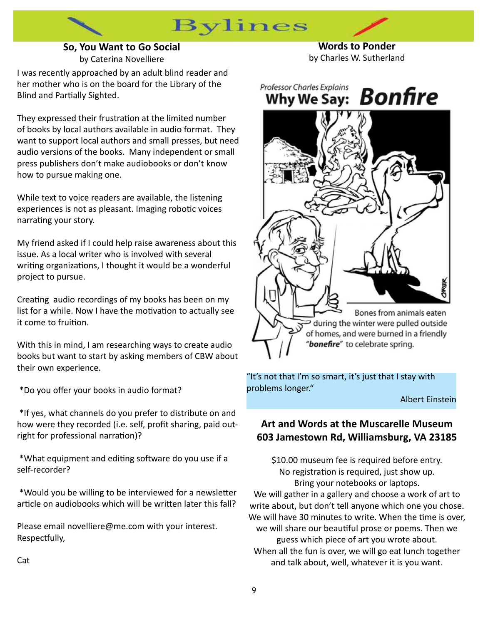### **So, You Want to Go Social** by Caterina Novelliere

**Bylines** 

**Words to Ponder** by Charles W. Sutherland

I was recently approached by an adult blind reader and her mother who is on the board for the Library of the Blind and Partially Sighted.

They expressed their frustration at the limited number of books by local authors available in audio format. They want to support local authors and small presses, but need audio versions of the books. Many independent or small press publishers don't make audiobooks or don't know how to pursue making one.

While text to voice readers are available, the listening experiences is not as pleasant. Imaging robotic voices narrating your story.

My friend asked if I could help raise awareness about this issue. As a local writer who is involved with several writing organizations, I thought it would be a wonderful project to pursue.

Creating audio recordings of my books has been on my list for a while. Now I have the motivation to actually see it come to fruition.

With this in mind, I am researching ways to create audio books but want to start by asking members of CBW about their own experience.

\*Do you offer your books in audio format?

 \*If yes, what channels do you prefer to distribute on and how were they recorded (i.e. self, profit sharing, paid outright for professional narration)?

 \*What equipment and editing software do you use if a self-recorder?

 \*Would you be willing to be interviewed for a newsletter article on audiobooks which will be written later this fall?

Please email novelliere@me.com with your interest. Respectfully,



"It's not that I'm so smart, it's just that I stay with problems longer."

Albert Einstein

### **Art and Words at the Muscarelle Museum 603 Jamestown Rd, Williamsburg, VA 23185**

\$10.00 museum fee is required before entry. No registration is required, just show up. Bring your notebooks or laptops. We will gather in a gallery and choose a work of art to write about, but don't tell anyone which one you chose. We will have 30 minutes to write. When the time is over, we will share our beautiful prose or poems. Then we guess which piece of art you wrote about. When all the fun is over, we will go eat lunch together and talk about, well, whatever it is you want.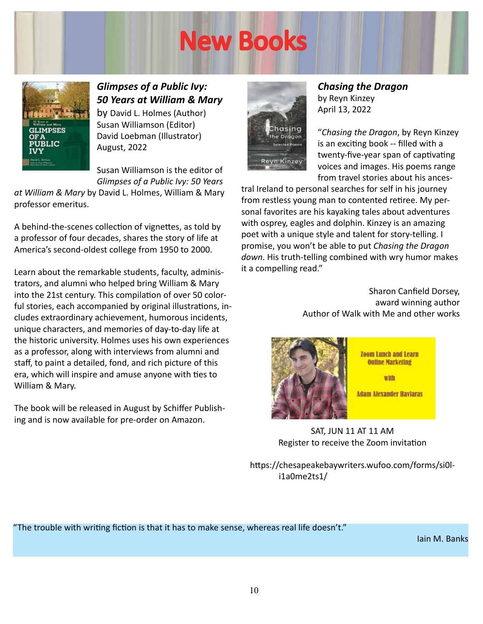# New Books



*Glimpses of a Public Ivy: 50 Years at William & Mary*  by David L. Holmes (Author) Susan Williamson (Editor) David Loebman (Illustrator) August, 2022

Susan Williamson is the editor of *Glimpses of a Public Ivy: 50 Years* 

*at William & Mary* by David L. Holmes, William & Mary professor emeritus.

A behind-the-scenes collection of vignettes, as told by a professor of four decades, shares the story of life at America's second-oldest college from 1950 to 2000.

Learn about the remarkable students, faculty, administrators, and alumni who helped bring William & Mary into the 21st century. This compilation of over 50 colorful stories, each accompanied by original illustrations, includes extraordinary achievement, humorous incidents, unique characters, and memories of day-to-day life at the historic university. Holmes uses his own experiences as a professor, along with interviews from alumni and staff, to paint a detailed, fond, and rich picture of this era, which will inspire and amuse anyone with ties to William & Mary.

The book will be released in August by Schiffer Publishing and is now available for pre-order on Amazon.



*Chasing the Dragon*  by Reyn Kinzey April 13, 2022

"*Chasing the Dragon*, by Reyn Kinzey is an exciting book -- filled with a twenty-five-year span of captivating voices and images. His poems range from travel stories about his ances-

tral Ireland to personal searches for self in his journey from restless young man to contented retiree. My personal favorites are his kayaking tales about adventures with osprey, eagles and dolphin. Kinzey is an amazing poet with a unique style and talent for story-telling. I promise, you won't be able to put *Chasing the Dragon down*. His truth-telling combined with wry humor makes it a compelling read."

> Sharon Canfield Dorsey, award winning author Author of Walk with Me and other works



**Zoom Lunch and Learn Online Marketing** 

with

**Adam Alexander Haviaras** 

SAT, JUN 11 AT 11 AM Register to receive the Zoom invitation

https://chesapeakebaywriters.wufoo.com/forms/si0li1a0me2ts1/

"The trouble with writing fiction is that it has to make sense, whereas real life doesn't."

Iain M. Banks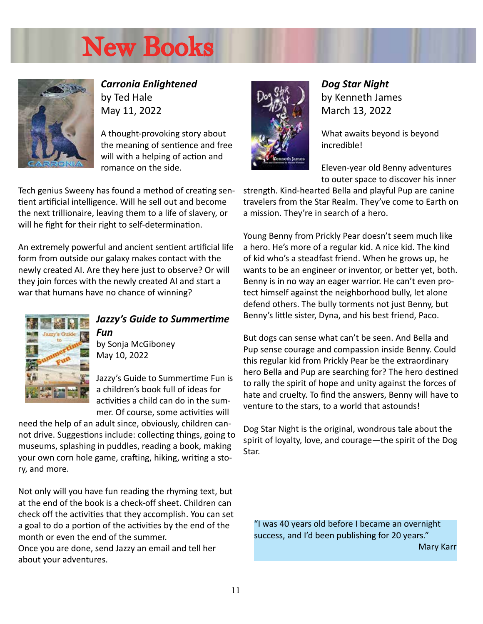# New Books



*Carronia Enlightened*  by Ted Hale May 11, 2022

A thought-provoking story about the meaning of sentience and free will with a helping of action and romance on the side.

Tech genius Sweeny has found a method of creating sentient artificial intelligence. Will he sell out and become the next trillionaire, leaving them to a life of slavery, or will he fight for their right to self-determination.

An extremely powerful and ancient sentient artificial life form from outside our galaxy makes contact with the newly created AI. Are they here just to observe? Or will they join forces with the newly created AI and start a war that humans have no chance of winning?



### *Jazzy's Guide to Summertime Fun*

by Sonja McGiboney May 10, 2022

Jazzy's Guide to Summertime Fun is a children's book full of ideas for activities a child can do in the summer. Of course, some activities will

need the help of an adult since, obviously, children cannot drive. Suggestions include: collecting things, going to museums, splashing in puddles, reading a book, making your own corn hole game, crafting, hiking, writing a story, and more.

Not only will you have fun reading the rhyming text, but at the end of the book is a check-off sheet. Children can check off the activities that they accomplish. You can set a goal to do a portion of the activities by the end of the month or even the end of the summer.

Once you are done, send Jazzy an email and tell her about your adventures.



*Dog Star Night* by Kenneth James March 13, 2022

What awaits beyond is beyond incredible!

Eleven-year old Benny adventures to outer space to discover his inner

strength. Kind-hearted Bella and playful Pup are canine travelers from the Star Realm. They've come to Earth on a mission. They're in search of a hero.

Young Benny from Prickly Pear doesn't seem much like a hero. He's more of a regular kid. A nice kid. The kind of kid who's a steadfast friend. When he grows up, he wants to be an engineer or inventor, or better yet, both. Benny is in no way an eager warrior. He can't even protect himself against the neighborhood bully, let alone defend others. The bully torments not just Benny, but Benny's little sister, Dyna, and his best friend, Paco.

But dogs can sense what can't be seen. And Bella and Pup sense courage and compassion inside Benny. Could this regular kid from Prickly Pear be the extraordinary hero Bella and Pup are searching for? The hero destined to rally the spirit of hope and unity against the forces of hate and cruelty. To find the answers, Benny will have to venture to the stars, to a world that astounds!

Dog Star Night is the original, wondrous tale about the spirit of loyalty, love, and courage—the spirit of the Dog Star.

"I was 40 years old before I became an overnight success, and I'd been publishing for 20 years."

Mary Karr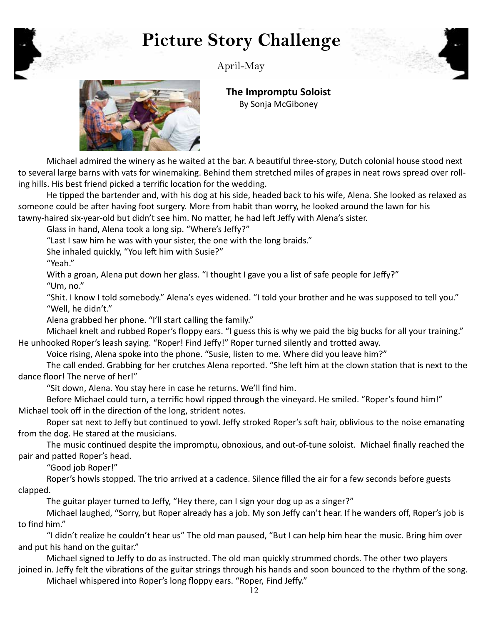## **Picture Story Challenge**



April-May



**The Impromptu Soloist** By Sonja McGiboney

Michael admired the winery as he waited at the bar. A beautiful three-story, Dutch colonial house stood next to several large barns with vats for winemaking. Behind them stretched miles of grapes in neat rows spread over rolling hills. His best friend picked a terrific location for the wedding.

He tipped the bartender and, with his dog at his side, headed back to his wife, Alena. She looked as relaxed as someone could be after having foot surgery. More from habit than worry, he looked around the lawn for his tawny-haired six-year-old but didn't see him. No matter, he had left Jeffy with Alena's sister.

Glass in hand, Alena took a long sip. "Where's Jeffy?"

"Last I saw him he was with your sister, the one with the long braids."

She inhaled quickly, "You left him with Susie?"

"Yeah."

With a groan, Alena put down her glass. "I thought I gave you a list of safe people for Jeffy?" "Um, no."

"Shit. I know I told somebody." Alena's eyes widened. "I told your brother and he was supposed to tell you." "Well, he didn't."

Alena grabbed her phone. "I'll start calling the family."

Michael knelt and rubbed Roper's floppy ears. "I guess this is why we paid the big bucks for all your training." He unhooked Roper's leash saying. "Roper! Find Jeffy!" Roper turned silently and trotted away.

Voice rising, Alena spoke into the phone. "Susie, listen to me. Where did you leave him?"

The call ended. Grabbing for her crutches Alena reported. "She left him at the clown station that is next to the dance floor! The nerve of her!"

"Sit down, Alena. You stay here in case he returns. We'll find him.

Before Michael could turn, a terrific howl ripped through the vineyard. He smiled. "Roper's found him!" Michael took off in the direction of the long, strident notes.

Roper sat next to Jeffy but continued to yowl. Jeffy stroked Roper's soft hair, oblivious to the noise emanating from the dog. He stared at the musicians.

The music continued despite the impromptu, obnoxious, and out-of-tune soloist. Michael finally reached the pair and patted Roper's head.

"Good job Roper!"

Roper's howls stopped. The trio arrived at a cadence. Silence filled the air for a few seconds before guests clapped.

The guitar player turned to Jeffy, "Hey there, can I sign your dog up as a singer?"

Michael laughed, "Sorry, but Roper already has a job. My son Jeffy can't hear. If he wanders off, Roper's job is to find him."

"I didn't realize he couldn't hear us" The old man paused, "But I can help him hear the music. Bring him over and put his hand on the guitar."

Michael signed to Jeffy to do as instructed. The old man quickly strummed chords. The other two players joined in. Jeffy felt the vibrations of the guitar strings through his hands and soon bounced to the rhythm of the song.

Michael whispered into Roper's long floppy ears. "Roper, Find Jeffy."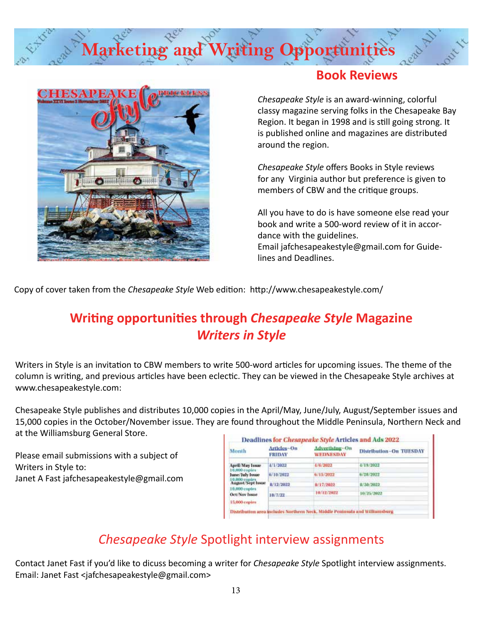# **Marketing and Writing Opportunit**



### **Book Reviews**

*Chesapeake Style* is an award-winning, colorful classy magazine serving folks in the Chesapeake Bay Region. It began in 1998 and is still going strong. It is published online and magazines are distributed around the region.

*Chesapeake Style* offers Books in Style reviews for any Virginia author but preference is given to members of CBW and the critique groups.

All you have to do is have someone else read your book and write a 500-word review of it in accordance with the guidelines. Email jafchesapeakestyle@gmail.com for Guidelines and Deadlines.

Copy of cover taken from the *Chesapeake Style* Web edition: http://www.chesapeakestyle.com/

### **Writing opportunities through** *Chesapeake Style* **Magazine**  *Writers in Style*

Writers in Style is an invitation to CBW members to write 500-word articles for upcoming issues. The theme of the column is writing, and previous articles have been eclectic. They can be viewed in the Chesapeake Style archives at www.chesapeakestyle.com:

Chesapeake Style publishes and distributes 10,000 copies in the April/May, June/July, August/September issues and 15,000 copies in the October/November issue. They are found throughout the Middle Peninsula, Northern Neck and at the Williamsburg General Store.

Please email submissions with a subject of Writers in Style to: Janet A Fast jafchesapeakestyle@gmail.com

| Month                                               | Articles-On<br><b>FRIDAY</b> | <b>Advertising-On</b><br>WEDNESDAY | <b>Distribution~On TUESDAY</b> |
|-----------------------------------------------------|------------------------------|------------------------------------|--------------------------------|
| <b>April/May Issue</b>                              | 4/1/2022                     | 4/6/2022                           | 4/19/2022                      |
| 10,000 copies<br><b>June/July Issue</b>             | 6/10/2022                    | 671572022                          | 6/28/2022                      |
| 10,000 copies<br>August/Sept Issue<br>10,000 copies | 8/12/2022                    | 8/17/2022                          | 8/30/2022                      |
| Oct/Nov Issue                                       | 10/7/22                      | 10/12/2022                         | 10/25/2022                     |
| 15,000 copies                                       |                              |                                    |                                |

### *Chesapeake Style* Spotlight interview assignments

Contact Janet Fast if you'd like to dicuss becoming a writer for *Chesapeake Style* Spotlight interview assignments. Email: Janet Fast <jafchesapeakestyle@gmail.com>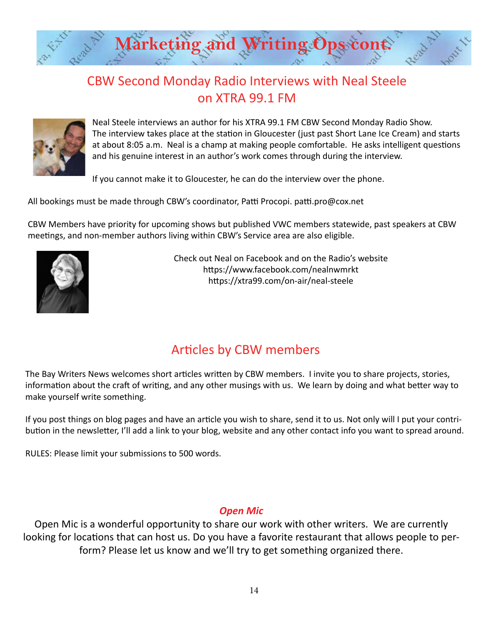

### CBW Second Monday Radio Interviews with Neal Steele on XTRA 99.1 FM



Neal Steele interviews an author for his XTRA 99.1 FM CBW Second Monday Radio Show. The interview takes place at the station in Gloucester (just past Short Lane Ice Cream) and starts at about 8:05 a.m. Neal is a champ at making people comfortable. He asks intelligent questions and his genuine interest in an author's work comes through during the interview.

If you cannot make it to Gloucester, he can do the interview over the phone.

All bookings must be made through CBW's coordinator, Patti Procopi. patti.pro@cox.net

CBW Members have priority for upcoming shows but published VWC members statewide, past speakers at CBW meetings, and non-member authors living within CBW's Service area are also eligible.



Check out Neal on Facebook and on the Radio's website https://www.facebook.com/nealnwmrkt https://xtra99.com/on-air/neal-steele

### Articles by CBW members

The Bay Writers News welcomes short articles written by CBW members. I invite you to share projects, stories, information about the craft of writing, and any other musings with us. We learn by doing and what better way to make yourself write something.

If you post things on blog pages and have an article you wish to share, send it to us. Not only will I put your contribution in the newsletter, I'll add a link to your blog, website and any other contact info you want to spread around.

RULES: Please limit your submissions to 500 words.

### *Open Mic*

Open Mic is a wonderful opportunity to share our work with other writers. We are currently looking for locations that can host us. Do you have a favorite restaurant that allows people to perform? Please let us know and we'll try to get something organized there.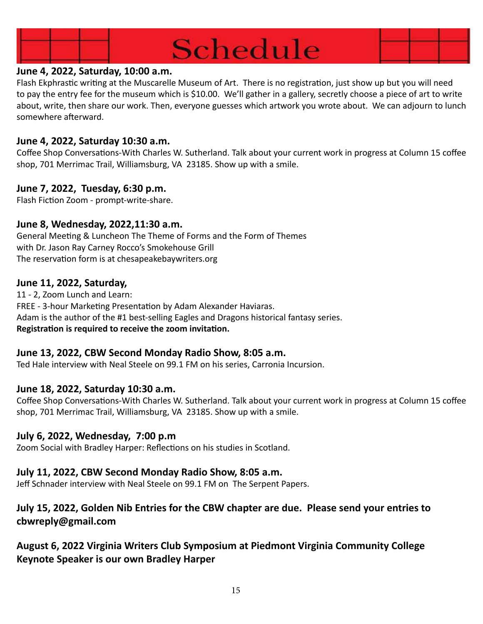

### **June 4, 2022, Saturday, 10:00 a.m.**

Flash Ekphrastic writing at the Muscarelle Museum of Art. There is no registration, just show up but you will need to pay the entry fee for the museum which is \$10.00. We'll gather in a gallery, secretly choose a piece of art to write about, write, then share our work. Then, everyone guesses which artwork you wrote about. We can adjourn to lunch somewhere afterward.

### **June 4, 2022, Saturday 10:30 a.m.**

Coffee Shop Conversations-With Charles W. Sutherland. Talk about your current work in progress at Column 15 coffee shop, 701 Merrimac Trail, Williamsburg, VA 23185. Show up with a smile.

### **June 7, 2022, Tuesday, 6:30 p.m.**

Flash Fiction Zoom - prompt-write-share.

### **June 8, Wednesday, 2022,11:30 a.m.**

General Meeting & Luncheon The Theme of Forms and the Form of Themes with Dr. Jason Ray Carney Rocco's Smokehouse Grill The reservation form is at chesapeakebaywriters.org

### **June 11, 2022, Saturday,**

11 - 2, Zoom Lunch and Learn: FREE - 3-hour Marketing Presentation by Adam Alexander Haviaras. Adam is the author of the #1 best-selling Eagles and Dragons historical fantasy series. **Registration is required to receive the zoom invitation.**

### **June 13, 2022, CBW Second Monday Radio Show, 8:05 a.m.**

Ted Hale interview with Neal Steele on 99.1 FM on his series, Carronia Incursion.

### **June 18, 2022, Saturday 10:30 a.m.**

Coffee Shop Conversations-With Charles W. Sutherland. Talk about your current work in progress at Column 15 coffee shop, 701 Merrimac Trail, Williamsburg, VA 23185. Show up with a smile.

### **July 6, 2022, Wednesday, 7:00 p.m**

Zoom Social with Bradley Harper: Reflections on his studies in Scotland.

### **July 11, 2022, CBW Second Monday Radio Show, 8:05 a.m.**

Jeff Schnader interview with Neal Steele on 99.1 FM on The Serpent Papers.

### **July 15, 2022, Golden Nib Entries for the CBW chapter are due. Please send your entries to cbwreply@gmail.com**

### **August 6, 2022 Virginia Writers Club Symposium at Piedmont Virginia Community College Keynote Speaker is our own Bradley Harper**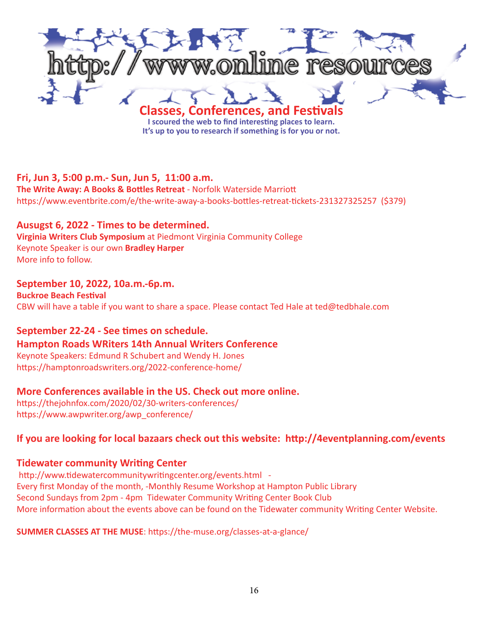

**It's up to you to research if something is for you or not.**

### **Fri, Jun 3, 5:00 p.m.- Sun, Jun 5, 11:00 a.m.**

**The Write Away: A Books & Bottles Retreat** - Norfolk Waterside Marriott https://www.eventbrite.com/e/the-write-away-a-books-bottles-retreat-tickets-231327325257 (\$379)

### **Ausugst 6, 2022 - Times to be determined.**

**Virginia Writers Club Symposium** at Piedmont Virginia Community College Keynote Speaker is our own **Bradley Harper**  More info to follow.

### **September 10, 2022, 10a.m.-6p.m.**

**Buckroe Beach Festival**  CBW will have a table if you want to share a space. Please contact Ted Hale at ted@tedbhale.com

### **September 22-24 - See times on schedule.**

### **Hampton Roads WRiters 14th Annual Writers Conference**

Keynote Speakers: Edmund R Schubert and Wendy H. Jones https://hamptonroadswriters.org/2022-conference-home/

### **More Conferences available in the US. Check out more online.**

https://thejohnfox.com/2020/02/30-writers-conferences/ https://www.awpwriter.org/awp\_conference/

### **If you are looking for local bazaars check out this website: http://4eventplanning.com/events**

### **Tidewater community Writing Center**

http://www.tidewatercommunitywritingcenter.org/events.html - Every first Monday of the month, -Monthly Resume Workshop at Hampton Public Library Second Sundays from 2pm - 4pm Tidewater Community Writing Center Book Club More information about the events above can be found on the Tidewater community Writing Center Website.

### **SUMMER CLASSES AT THE MUSE**: https://the-muse.org/classes-at-a-glance/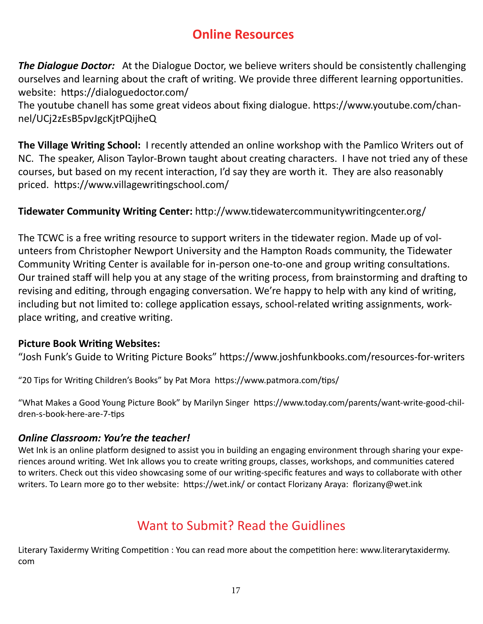### **Online Resources**

**The Dialogue Doctor:** At the Dialogue Doctor, we believe writers should be consistently challenging ourselves and learning about the craft of writing. We provide three different learning opportunities. website: https://dialoguedoctor.com/

The youtube chanell has some great videos about fixing dialogue. https://www.youtube.com/channel/UCj2zEsB5pvJgcKjtPQijheQ

**The Village Writing School:** I recently attended an online workshop with the Pamlico Writers out of NC. The speaker, Alison Taylor-Brown taught about creating characters. I have not tried any of these courses, but based on my recent interaction, I'd say they are worth it. They are also reasonably priced. https://www.villagewritingschool.com/

### **Tidewater Community Writing Center:** http://www.tidewatercommunitywritingcenter.org/

The TCWC is a free writing resource to support writers in the tidewater region. Made up of volunteers from Christopher Newport University and the Hampton Roads community, the Tidewater Community Writing Center is available for in-person one-to-one and group writing consultations. Our trained staff will help you at any stage of the writing process, from brainstorming and drafting to revising and editing, through engaging conversation. We're happy to help with any kind of writing, including but not limited to: college application essays, school-related writing assignments, workplace writing, and creative writing.

### **Picture Book Writing Websites:**

"Josh Funk's Guide to Writing Picture Books" https://www.joshfunkbooks.com/resources-for-writers

"20 Tips for Writing Children's Books" by Pat Mora https://www.patmora.com/tips/

"What Makes a Good Young Picture Book" by Marilyn Singer https://www.today.com/parents/want-write-good-children-s-book-here-are-7-tips

### *Online Classroom: You're the teacher!*

Wet Ink is an online platform designed to assist you in building an engaging environment through sharing your experiences around writing. Wet Ink allows you to create writing groups, classes, workshops, and communities catered to writers. Check out this video showcasing some of our writing-specific features and ways to collaborate with other writers. To Learn more go to ther website: https://wet.ink/ or contact Florizany Araya: florizany@wet.ink

### Want to Submit? Read the Guidlines

Literary Taxidermy Writing Competition : You can read more about the competition here: www.literarytaxidermy. com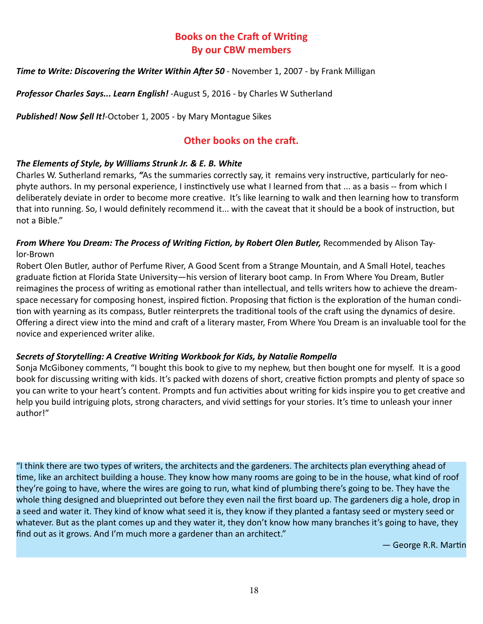### **Books on the Craft of Writing By our CBW members**

### *Time to Write: Discovering the Writer Within After 50 - November 1, 2007 - by Frank Milligan*

*Professor Charles Says... Learn English!* -August 5, 2016 - by Charles W Sutherland

*Published! Now \$ell It!*-October 1, 2005 - by Mary Montague Sikes

### **Other books on the craft.**

### *The Elements of Style, by Williams Strunk Jr. & E. B. White*

Charles W. Sutherland remarks, *"*As the summaries correctly say, it remains very instructive, particularly for neophyte authors. In my personal experience, I instinctively use what I learned from that ... as a basis -- from which I deliberately deviate in order to become more creative. It's like learning to walk and then learning how to transform that into running. So, I would definitely recommend it... with the caveat that it should be a book of instruction, but not a Bible."

### *From Where You Dream: The Process of Writing Fiction, by Robert Olen Butler, Recommended by Alison Tay*lor-Brown

Robert Olen Butler, author of Perfume River, A Good Scent from a Strange Mountain, and A Small Hotel, teaches graduate fiction at Florida State University—his version of literary boot camp. In From Where You Dream, Butler reimagines the process of writing as emotional rather than intellectual, and tells writers how to achieve the dreamspace necessary for composing honest, inspired fiction. Proposing that fiction is the exploration of the human condition with yearning as its compass, Butler reinterprets the traditional tools of the craft using the dynamics of desire. Offering a direct view into the mind and craft of a literary master, From Where You Dream is an invaluable tool for the novice and experienced writer alike.

### *Secrets of Storytelling: A Creative Writing Workbook for Kids, by Natalie Rompella*

Sonja McGiboney comments, "I bought this book to give to my nephew, but then bought one for myself. It is a good book for discussing writing with kids. It's packed with dozens of short, creative fiction prompts and plenty of space so you can write to your heart's content. Prompts and fun activities about writing for kids inspire you to get creative and help you build intriguing plots, strong characters, and vivid settings for your stories. It's time to unleash your inner author!"

"I think there are two types of writers, the architects and the gardeners. The architects plan everything ahead of time, like an architect building a house. They know how many rooms are going to be in the house, what kind of roof they're going to have, where the wires are going to run, what kind of plumbing there's going to be. They have the whole thing designed and blueprinted out before they even nail the first board up. The gardeners dig a hole, drop in a seed and water it. They kind of know what seed it is, they know if they planted a fantasy seed or mystery seed or whatever. But as the plant comes up and they water it, they don't know how many branches it's going to have, they find out as it grows. And I'm much more a gardener than an architect."

― George R.R. Martin